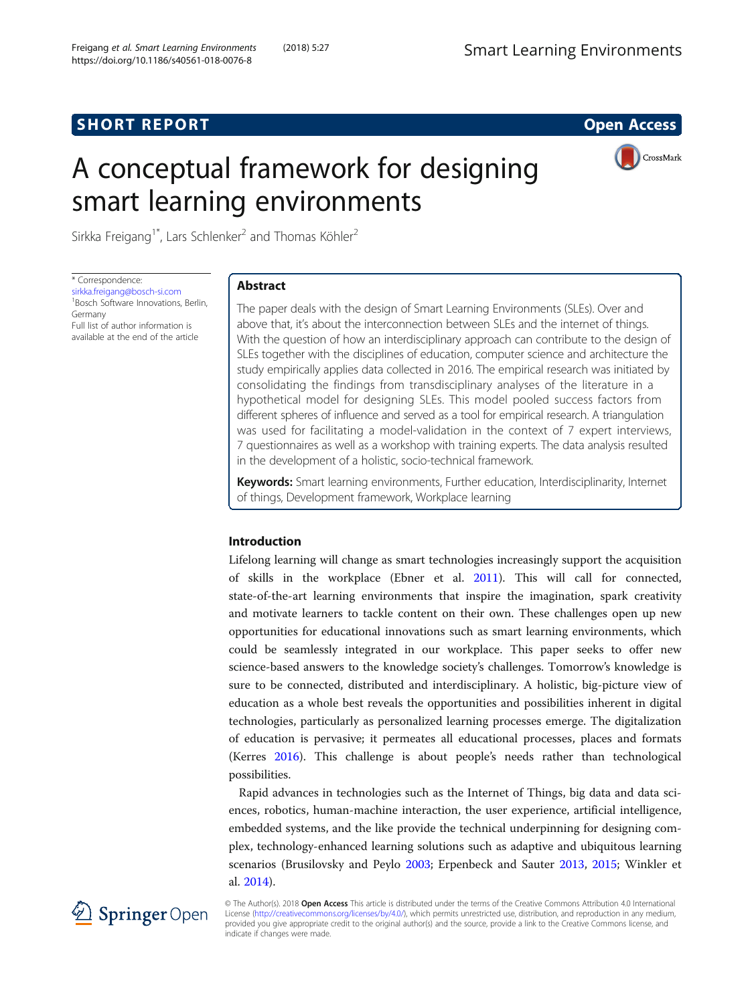## **SHORT REPORT SHORT CONSUMING A SHORT REPORT**

# A conceptual framework for designing smart learning environments



Sirkka Freigang<sup>1\*</sup>, Lars Schlenker<sup>2</sup> and Thomas Köhler<sup>2</sup>

\* Correspondence: [sirkka.freigang@bosch-si.com](mailto:sirkka.freigang@bosch-si.com) 1 Bosch Software Innovations, Berlin, Germany Full list of author information is available at the end of the article

## Abstract

The paper deals with the design of Smart Learning Environments (SLEs). Over and above that, it's about the interconnection between SLEs and the internet of things. With the question of how an interdisciplinary approach can contribute to the design of SLEs together with the disciplines of education, computer science and architecture the study empirically applies data collected in 2016. The empirical research was initiated by consolidating the findings from transdisciplinary analyses of the literature in a hypothetical model for designing SLEs. This model pooled success factors from different spheres of influence and served as a tool for empirical research. A triangulation was used for facilitating a model-validation in the context of 7 expert interviews, 7 questionnaires as well as a workshop with training experts. The data analysis resulted in the development of a holistic, socio-technical framework.

Keywords: Smart learning environments, Further education, Interdisciplinarity, Internet of things, Development framework, Workplace learning

## Introduction

Lifelong learning will change as smart technologies increasingly support the acquisition of skills in the workplace (Ebner et al. [2011\)](#page-16-0). This will call for connected, state-of-the-art learning environments that inspire the imagination, spark creativity and motivate learners to tackle content on their own. These challenges open up new opportunities for educational innovations such as smart learning environments, which could be seamlessly integrated in our workplace. This paper seeks to offer new science-based answers to the knowledge society's challenges. Tomorrow's knowledge is sure to be connected, distributed and interdisciplinary. A holistic, big-picture view of education as a whole best reveals the opportunities and possibilities inherent in digital technologies, particularly as personalized learning processes emerge. The digitalization of education is pervasive; it permeates all educational processes, places and formats (Kerres [2016\)](#page-16-0). This challenge is about people's needs rather than technological possibilities.

Rapid advances in technologies such as the Internet of Things, big data and data sciences, robotics, human-machine interaction, the user experience, artificial intelligence, embedded systems, and the like provide the technical underpinning for designing complex, technology-enhanced learning solutions such as adaptive and ubiquitous learning scenarios (Brusilovsky and Peylo [2003](#page-16-0); Erpenbeck and Sauter [2013,](#page-16-0) [2015;](#page-16-0) Winkler et al. [2014](#page-16-0)).



© The Author(s). 2018 Open Access This article is distributed under the terms of the Creative Commons Attribution 4.0 International License [\(http://creativecommons.org/licenses/by/4.0/](http://creativecommons.org/licenses/by/4.0/)), which permits unrestricted use, distribution, and reproduction in any medium, provided you give appropriate credit to the original author(s) and the source, provide a link to the Creative Commons license, and indicate if changes were made.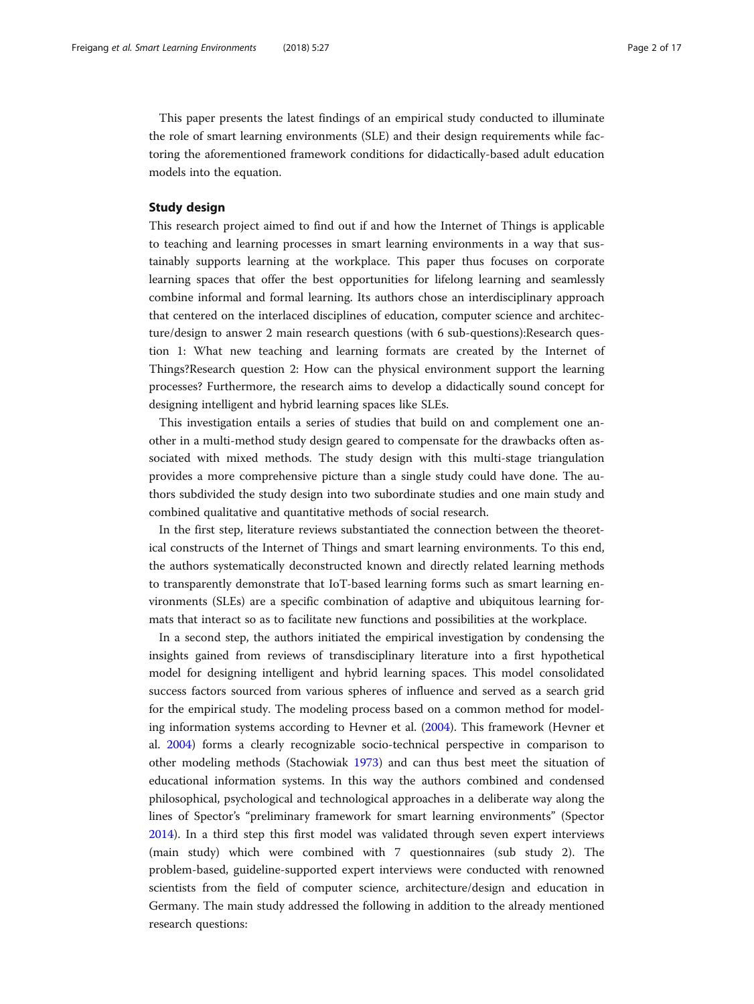<span id="page-1-0"></span>This paper presents the latest findings of an empirical study conducted to illuminate the role of smart learning environments (SLE) and their design requirements while factoring the aforementioned framework conditions for didactically-based adult education models into the equation.

### Study design

This research project aimed to find out if and how the Internet of Things is applicable to teaching and learning processes in smart learning environments in a way that sustainably supports learning at the workplace. This paper thus focuses on corporate learning spaces that offer the best opportunities for lifelong learning and seamlessly combine informal and formal learning. Its authors chose an interdisciplinary approach that centered on the interlaced disciplines of education, computer science and architecture/design to answer 2 main research questions (with 6 sub-questions):Research question 1: What new teaching and learning formats are created by the Internet of Things?Research question 2: How can the physical environment support the learning processes? Furthermore, the research aims to develop a didactically sound concept for designing intelligent and hybrid learning spaces like SLEs.

This investigation entails a series of studies that build on and complement one another in a multi-method study design geared to compensate for the drawbacks often associated with mixed methods. The study design with this multi-stage triangulation provides a more comprehensive picture than a single study could have done. The authors subdivided the study design into two subordinate studies and one main study and combined qualitative and quantitative methods of social research.

In the first step, literature reviews substantiated the connection between the theoretical constructs of the Internet of Things and smart learning environments. To this end, the authors systematically deconstructed known and directly related learning methods to transparently demonstrate that IoT-based learning forms such as smart learning environments (SLEs) are a specific combination of adaptive and ubiquitous learning formats that interact so as to facilitate new functions and possibilities at the workplace.

In a second step, the authors initiated the empirical investigation by condensing the insights gained from reviews of transdisciplinary literature into a first hypothetical model for designing intelligent and hybrid learning spaces. This model consolidated success factors sourced from various spheres of influence and served as a search grid for the empirical study. The modeling process based on a common method for modeling information systems according to Hevner et al. ([2004\)](#page-16-0). This framework (Hevner et al. [2004](#page-16-0)) forms a clearly recognizable socio-technical perspective in comparison to other modeling methods (Stachowiak [1973](#page-16-0)) and can thus best meet the situation of educational information systems. In this way the authors combined and condensed philosophical, psychological and technological approaches in a deliberate way along the lines of Spector's "preliminary framework for smart learning environments" (Spector [2014](#page-16-0)). In a third step this first model was validated through seven expert interviews (main study) which were combined with 7 questionnaires (sub study 2). The problem-based, guideline-supported expert interviews were conducted with renowned scientists from the field of computer science, architecture/design and education in Germany. The main study addressed the following in addition to the already mentioned research questions: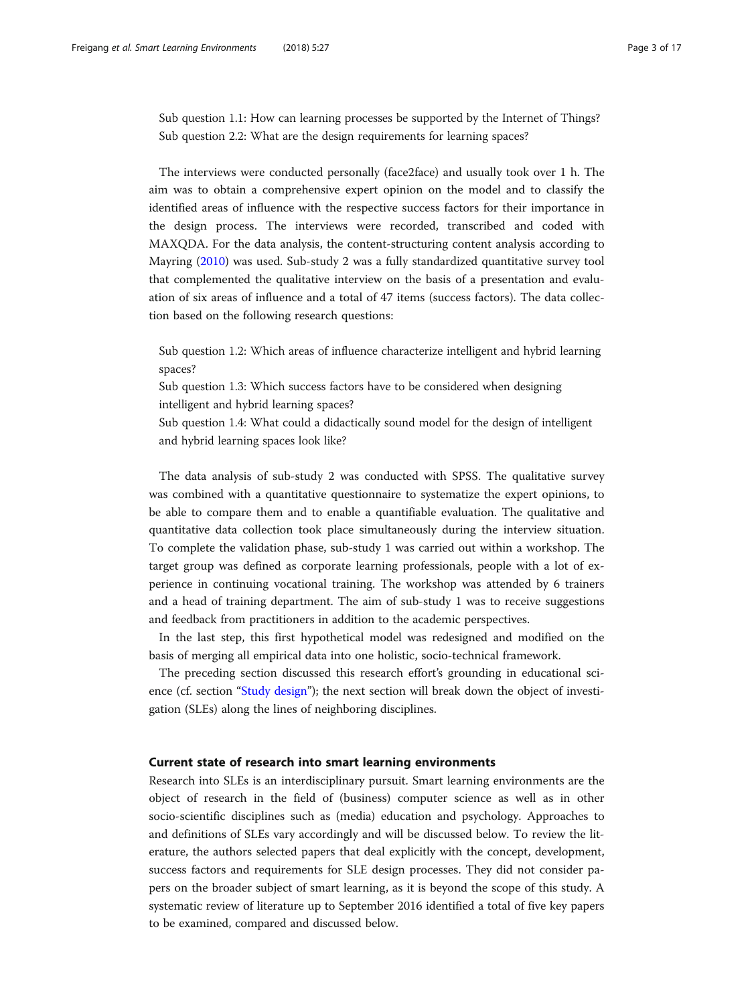<span id="page-2-0"></span>Sub question 1.1: How can learning processes be supported by the Internet of Things? Sub question 2.2: What are the design requirements for learning spaces?

The interviews were conducted personally (face2face) and usually took over 1 h. The aim was to obtain a comprehensive expert opinion on the model and to classify the identified areas of influence with the respective success factors for their importance in the design process. The interviews were recorded, transcribed and coded with MAXQDA. For the data analysis, the content-structuring content analysis according to Mayring [\(2010\)](#page-16-0) was used. Sub-study 2 was a fully standardized quantitative survey tool that complemented the qualitative interview on the basis of a presentation and evaluation of six areas of influence and a total of 47 items (success factors). The data collection based on the following research questions:

Sub question 1.2: Which areas of influence characterize intelligent and hybrid learning spaces?

Sub question 1.3: Which success factors have to be considered when designing intelligent and hybrid learning spaces?

Sub question 1.4: What could a didactically sound model for the design of intelligent and hybrid learning spaces look like?

The data analysis of sub-study 2 was conducted with SPSS. The qualitative survey was combined with a quantitative questionnaire to systematize the expert opinions, to be able to compare them and to enable a quantifiable evaluation. The qualitative and quantitative data collection took place simultaneously during the interview situation. To complete the validation phase, sub-study 1 was carried out within a workshop. The target group was defined as corporate learning professionals, people with a lot of experience in continuing vocational training. The workshop was attended by 6 trainers and a head of training department. The aim of sub-study 1 was to receive suggestions and feedback from practitioners in addition to the academic perspectives.

In the last step, this first hypothetical model was redesigned and modified on the basis of merging all empirical data into one holistic, socio-technical framework.

The preceding section discussed this research effort's grounding in educational science (cf. section "[Study design](#page-1-0)"); the next section will break down the object of investigation (SLEs) along the lines of neighboring disciplines.

#### Current state of research into smart learning environments

Research into SLEs is an interdisciplinary pursuit. Smart learning environments are the object of research in the field of (business) computer science as well as in other socio-scientific disciplines such as (media) education and psychology. Approaches to and definitions of SLEs vary accordingly and will be discussed below. To review the literature, the authors selected papers that deal explicitly with the concept, development, success factors and requirements for SLE design processes. They did not consider papers on the broader subject of smart learning, as it is beyond the scope of this study. A systematic review of literature up to September 2016 identified a total of five key papers to be examined, compared and discussed below.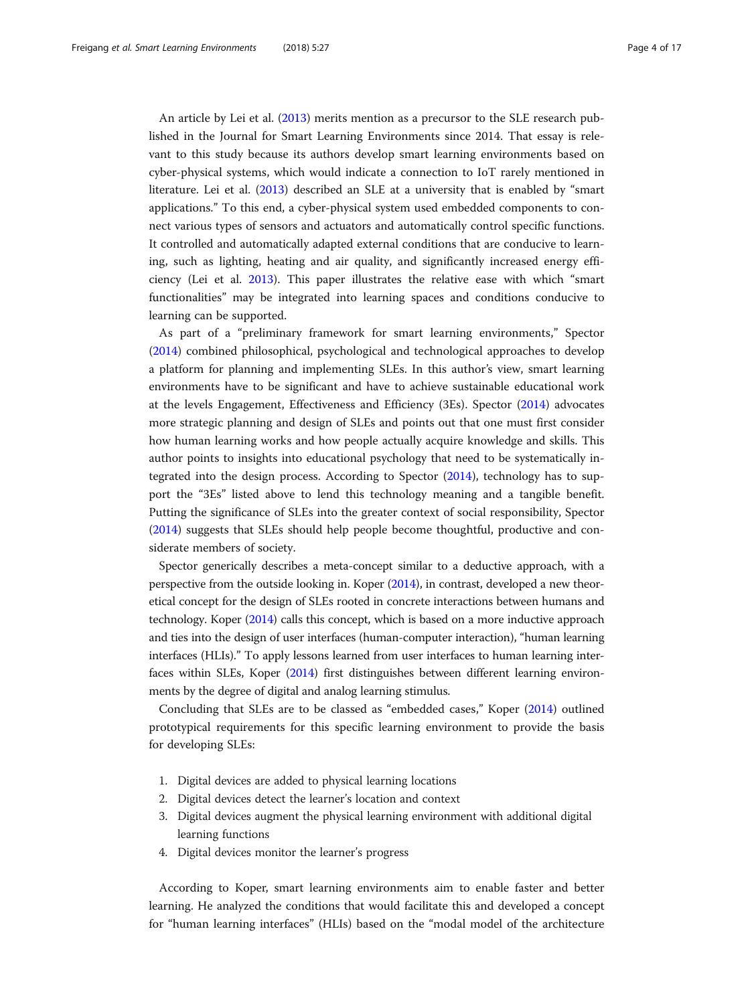An article by Lei et al. ([2013](#page-16-0)) merits mention as a precursor to the SLE research published in the Journal for Smart Learning Environments since 2014. That essay is relevant to this study because its authors develop smart learning environments based on cyber-physical systems, which would indicate a connection to IoT rarely mentioned in literature. Lei et al. [\(2013\)](#page-16-0) described an SLE at a university that is enabled by "smart applications." To this end, a cyber-physical system used embedded components to connect various types of sensors and actuators and automatically control specific functions. It controlled and automatically adapted external conditions that are conducive to learning, such as lighting, heating and air quality, and significantly increased energy efficiency (Lei et al. [2013](#page-16-0)). This paper illustrates the relative ease with which "smart functionalities" may be integrated into learning spaces and conditions conducive to learning can be supported.

As part of a "preliminary framework for smart learning environments," Spector ([2014](#page-16-0)) combined philosophical, psychological and technological approaches to develop a platform for planning and implementing SLEs. In this author's view, smart learning environments have to be significant and have to achieve sustainable educational work at the levels Engagement, Effectiveness and Efficiency (3Es). Spector ([2014](#page-16-0)) advocates more strategic planning and design of SLEs and points out that one must first consider how human learning works and how people actually acquire knowledge and skills. This author points to insights into educational psychology that need to be systematically integrated into the design process. According to Spector [\(2014\)](#page-16-0), technology has to support the "3Es" listed above to lend this technology meaning and a tangible benefit. Putting the significance of SLEs into the greater context of social responsibility, Spector ([2014](#page-16-0)) suggests that SLEs should help people become thoughtful, productive and considerate members of society.

Spector generically describes a meta-concept similar to a deductive approach, with a perspective from the outside looking in. Koper [\(2014\)](#page-16-0), in contrast, developed a new theoretical concept for the design of SLEs rooted in concrete interactions between humans and technology. Koper ([2014](#page-16-0)) calls this concept, which is based on a more inductive approach and ties into the design of user interfaces (human-computer interaction), "human learning interfaces (HLIs)." To apply lessons learned from user interfaces to human learning interfaces within SLEs, Koper [\(2014](#page-16-0)) first distinguishes between different learning environments by the degree of digital and analog learning stimulus.

Concluding that SLEs are to be classed as "embedded cases," Koper [\(2014\)](#page-16-0) outlined prototypical requirements for this specific learning environment to provide the basis for developing SLEs:

- 1. Digital devices are added to physical learning locations
- 2. Digital devices detect the learner's location and context
- 3. Digital devices augment the physical learning environment with additional digital learning functions
- 4. Digital devices monitor the learner's progress

According to Koper, smart learning environments aim to enable faster and better learning. He analyzed the conditions that would facilitate this and developed a concept for "human learning interfaces" (HLIs) based on the "modal model of the architecture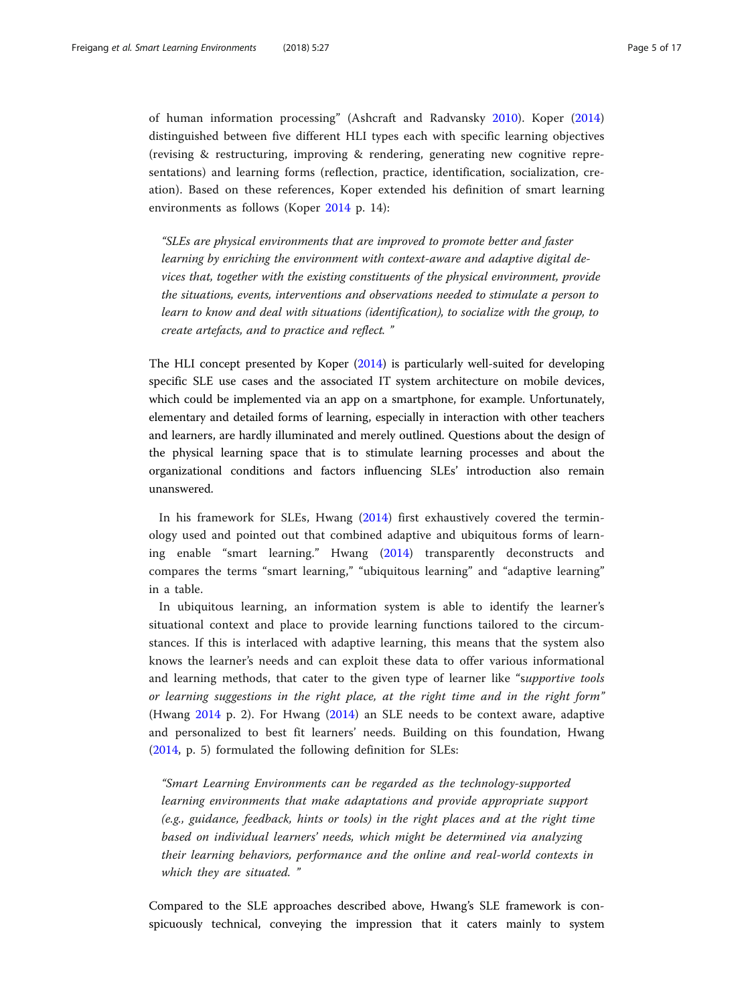of human information processing" (Ashcraft and Radvansky [2010](#page-16-0)). Koper [\(2014](#page-16-0)) distinguished between five different HLI types each with specific learning objectives (revising & restructuring, improving & rendering, generating new cognitive representations) and learning forms (reflection, practice, identification, socialization, creation). Based on these references, Koper extended his definition of smart learning environments as follows (Koper [2014](#page-16-0) p. 14):

"SLEs are physical environments that are improved to promote better and faster learning by enriching the environment with context-aware and adaptive digital devices that, together with the existing constituents of the physical environment, provide the situations, events, interventions and observations needed to stimulate a person to learn to know and deal with situations (identification), to socialize with the group, to create artefacts, and to practice and reflect. "

The HLI concept presented by Koper ([2014](#page-16-0)) is particularly well-suited for developing specific SLE use cases and the associated IT system architecture on mobile devices, which could be implemented via an app on a smartphone, for example. Unfortunately, elementary and detailed forms of learning, especially in interaction with other teachers and learners, are hardly illuminated and merely outlined. Questions about the design of the physical learning space that is to stimulate learning processes and about the organizational conditions and factors influencing SLEs' introduction also remain unanswered.

In his framework for SLEs, Hwang ([2014\)](#page-16-0) first exhaustively covered the terminology used and pointed out that combined adaptive and ubiquitous forms of learning enable "smart learning." Hwang [\(2014](#page-16-0)) transparently deconstructs and compares the terms "smart learning," "ubiquitous learning" and "adaptive learning" in a table.

In ubiquitous learning, an information system is able to identify the learner's situational context and place to provide learning functions tailored to the circumstances. If this is interlaced with adaptive learning, this means that the system also knows the learner's needs and can exploit these data to offer various informational and learning methods, that cater to the given type of learner like "supportive tools or learning suggestions in the right place, at the right time and in the right form" (Hwang [2014](#page-16-0) p. 2). For Hwang [\(2014](#page-16-0)) an SLE needs to be context aware, adaptive and personalized to best fit learners' needs. Building on this foundation, Hwang ([2014,](#page-16-0) p. 5) formulated the following definition for SLEs:

"Smart Learning Environments can be regarded as the technology-supported learning environments that make adaptations and provide appropriate support (e.g., guidance, feedback, hints or tools) in the right places and at the right time based on individual learners' needs, which might be determined via analyzing their learning behaviors, performance and the online and real-world contexts in which they are situated. "

Compared to the SLE approaches described above, Hwang's SLE framework is conspicuously technical, conveying the impression that it caters mainly to system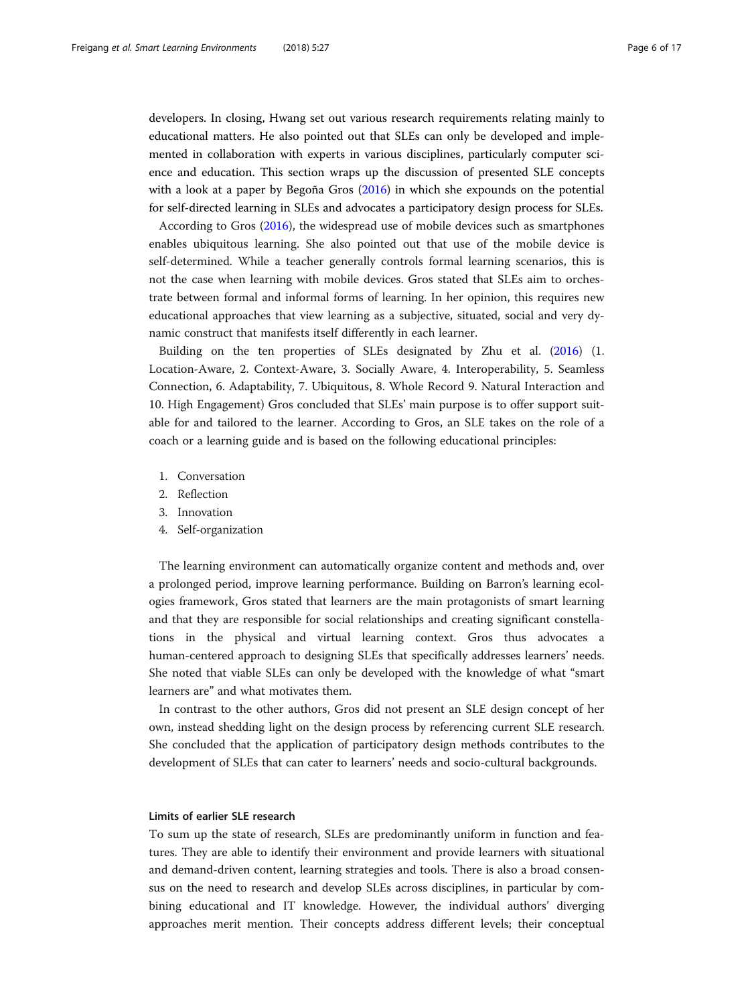developers. In closing, Hwang set out various research requirements relating mainly to educational matters. He also pointed out that SLEs can only be developed and implemented in collaboration with experts in various disciplines, particularly computer science and education. This section wraps up the discussion of presented SLE concepts with a look at a paper by Begoña Gros ([2016\)](#page-16-0) in which she expounds on the potential for self-directed learning in SLEs and advocates a participatory design process for SLEs.

According to Gros [\(2016](#page-16-0)), the widespread use of mobile devices such as smartphones enables ubiquitous learning. She also pointed out that use of the mobile device is self-determined. While a teacher generally controls formal learning scenarios, this is not the case when learning with mobile devices. Gros stated that SLEs aim to orchestrate between formal and informal forms of learning. In her opinion, this requires new educational approaches that view learning as a subjective, situated, social and very dynamic construct that manifests itself differently in each learner.

Building on the ten properties of SLEs designated by Zhu et al. ([2016](#page-16-0)) (1. Location-Aware, 2. Context-Aware, 3. Socially Aware, 4. Interoperability, 5. Seamless Connection, 6. Adaptability, 7. Ubiquitous, 8. Whole Record 9. Natural Interaction and 10. High Engagement) Gros concluded that SLEs' main purpose is to offer support suitable for and tailored to the learner. According to Gros, an SLE takes on the role of a coach or a learning guide and is based on the following educational principles:

- 1. Conversation
- 2. Reflection
- 3. Innovation
- 4. Self-organization

The learning environment can automatically organize content and methods and, over a prolonged period, improve learning performance. Building on Barron's learning ecologies framework, Gros stated that learners are the main protagonists of smart learning and that they are responsible for social relationships and creating significant constellations in the physical and virtual learning context. Gros thus advocates a human-centered approach to designing SLEs that specifically addresses learners' needs. She noted that viable SLEs can only be developed with the knowledge of what "smart learners are" and what motivates them.

In contrast to the other authors, Gros did not present an SLE design concept of her own, instead shedding light on the design process by referencing current SLE research. She concluded that the application of participatory design methods contributes to the development of SLEs that can cater to learners' needs and socio-cultural backgrounds.

#### Limits of earlier SLE research

To sum up the state of research, SLEs are predominantly uniform in function and features. They are able to identify their environment and provide learners with situational and demand-driven content, learning strategies and tools. There is also a broad consensus on the need to research and develop SLEs across disciplines, in particular by combining educational and IT knowledge. However, the individual authors' diverging approaches merit mention. Their concepts address different levels; their conceptual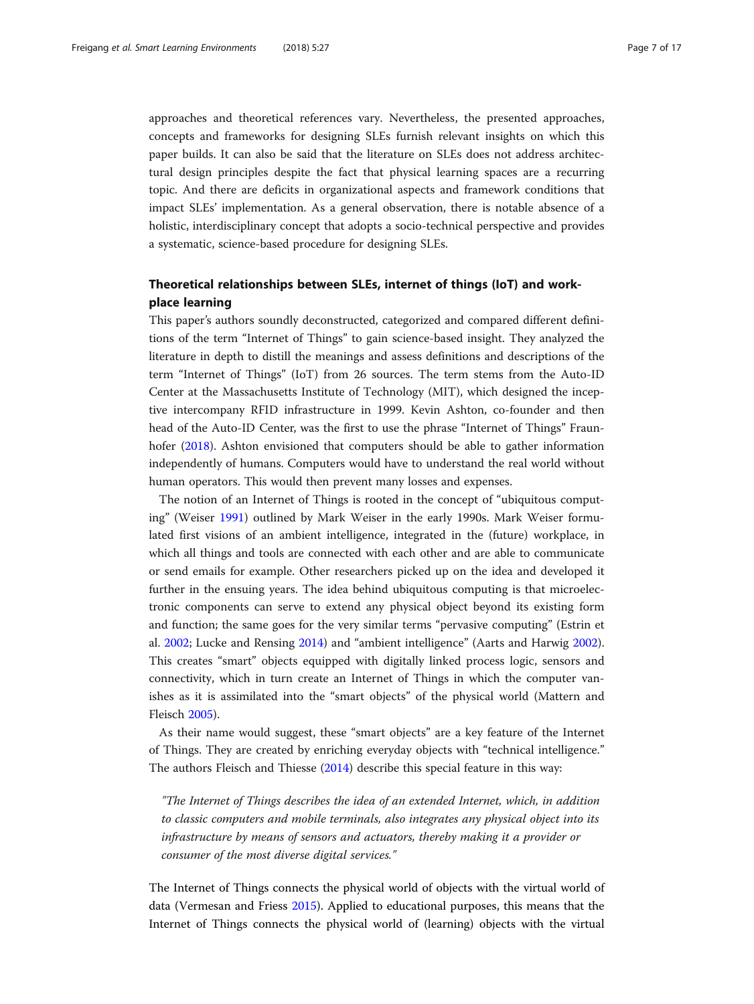approaches and theoretical references vary. Nevertheless, the presented approaches, concepts and frameworks for designing SLEs furnish relevant insights on which this paper builds. It can also be said that the literature on SLEs does not address architectural design principles despite the fact that physical learning spaces are a recurring topic. And there are deficits in organizational aspects and framework conditions that impact SLEs' implementation. As a general observation, there is notable absence of a holistic, interdisciplinary concept that adopts a socio-technical perspective and provides a systematic, science-based procedure for designing SLEs.

## Theoretical relationships between SLEs, internet of things (IoT) and workplace learning

This paper's authors soundly deconstructed, categorized and compared different definitions of the term "Internet of Things" to gain science-based insight. They analyzed the literature in depth to distill the meanings and assess definitions and descriptions of the term "Internet of Things" (IoT) from 26 sources. The term stems from the Auto-ID Center at the Massachusetts Institute of Technology (MIT), which designed the inceptive intercompany RFID infrastructure in 1999. Kevin Ashton, co-founder and then head of the Auto-ID Center, was the first to use the phrase "Internet of Things" Fraunhofer [\(2018\)](#page-16-0). Ashton envisioned that computers should be able to gather information independently of humans. Computers would have to understand the real world without human operators. This would then prevent many losses and expenses.

The notion of an Internet of Things is rooted in the concept of "ubiquitous computing" (Weiser [1991](#page-16-0)) outlined by Mark Weiser in the early 1990s. Mark Weiser formulated first visions of an ambient intelligence, integrated in the (future) workplace, in which all things and tools are connected with each other and are able to communicate or send emails for example. Other researchers picked up on the idea and developed it further in the ensuing years. The idea behind ubiquitous computing is that microelectronic components can serve to extend any physical object beyond its existing form and function; the same goes for the very similar terms "pervasive computing" (Estrin et al. [2002](#page-16-0); Lucke and Rensing [2014\)](#page-16-0) and "ambient intelligence" (Aarts and Harwig [2002](#page-16-0)). This creates "smart" objects equipped with digitally linked process logic, sensors and connectivity, which in turn create an Internet of Things in which the computer vanishes as it is assimilated into the "smart objects" of the physical world (Mattern and Fleisch [2005](#page-16-0)).

As their name would suggest, these "smart objects" are a key feature of the Internet of Things. They are created by enriching everyday objects with "technical intelligence." The authors Fleisch and Thiesse [\(2014\)](#page-16-0) describe this special feature in this way:

"The Internet of Things describes the idea of an extended Internet, which, in addition to classic computers and mobile terminals, also integrates any physical object into its infrastructure by means of sensors and actuators, thereby making it a provider or consumer of the most diverse digital services."

The Internet of Things connects the physical world of objects with the virtual world of data (Vermesan and Friess [2015](#page-16-0)). Applied to educational purposes, this means that the Internet of Things connects the physical world of (learning) objects with the virtual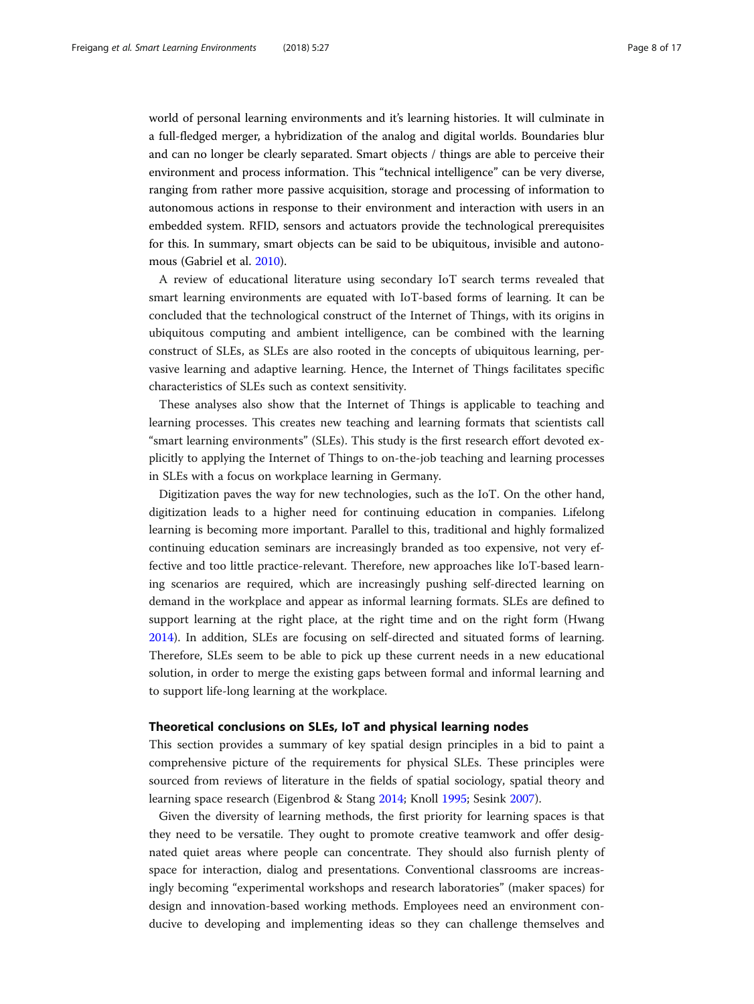<span id="page-7-0"></span>world of personal learning environments and it's learning histories. It will culminate in a full-fledged merger, a hybridization of the analog and digital worlds. Boundaries blur and can no longer be clearly separated. Smart objects / things are able to perceive their environment and process information. This "technical intelligence" can be very diverse, ranging from rather more passive acquisition, storage and processing of information to autonomous actions in response to their environment and interaction with users in an embedded system. RFID, sensors and actuators provide the technological prerequisites for this. In summary, smart objects can be said to be ubiquitous, invisible and autonomous (Gabriel et al. [2010](#page-16-0)).

A review of educational literature using secondary IoT search terms revealed that smart learning environments are equated with IoT-based forms of learning. It can be concluded that the technological construct of the Internet of Things, with its origins in ubiquitous computing and ambient intelligence, can be combined with the learning construct of SLEs, as SLEs are also rooted in the concepts of ubiquitous learning, pervasive learning and adaptive learning. Hence, the Internet of Things facilitates specific characteristics of SLEs such as context sensitivity.

These analyses also show that the Internet of Things is applicable to teaching and learning processes. This creates new teaching and learning formats that scientists call "smart learning environments" (SLEs). This study is the first research effort devoted explicitly to applying the Internet of Things to on-the-job teaching and learning processes in SLEs with a focus on workplace learning in Germany.

Digitization paves the way for new technologies, such as the IoT. On the other hand, digitization leads to a higher need for continuing education in companies. Lifelong learning is becoming more important. Parallel to this, traditional and highly formalized continuing education seminars are increasingly branded as too expensive, not very effective and too little practice-relevant. Therefore, new approaches like IoT-based learning scenarios are required, which are increasingly pushing self-directed learning on demand in the workplace and appear as informal learning formats. SLEs are defined to support learning at the right place, at the right time and on the right form (Hwang [2014](#page-16-0)). In addition, SLEs are focusing on self-directed and situated forms of learning. Therefore, SLEs seem to be able to pick up these current needs in a new educational solution, in order to merge the existing gaps between formal and informal learning and to support life-long learning at the workplace.

#### Theoretical conclusions on SLEs, IoT and physical learning nodes

This section provides a summary of key spatial design principles in a bid to paint a comprehensive picture of the requirements for physical SLEs. These principles were sourced from reviews of literature in the fields of spatial sociology, spatial theory and learning space research (Eigenbrod & Stang [2014](#page-16-0); Knoll [1995;](#page-16-0) Sesink [2007\)](#page-16-0).

Given the diversity of learning methods, the first priority for learning spaces is that they need to be versatile. They ought to promote creative teamwork and offer designated quiet areas where people can concentrate. They should also furnish plenty of space for interaction, dialog and presentations. Conventional classrooms are increasingly becoming "experimental workshops and research laboratories" (maker spaces) for design and innovation-based working methods. Employees need an environment conducive to developing and implementing ideas so they can challenge themselves and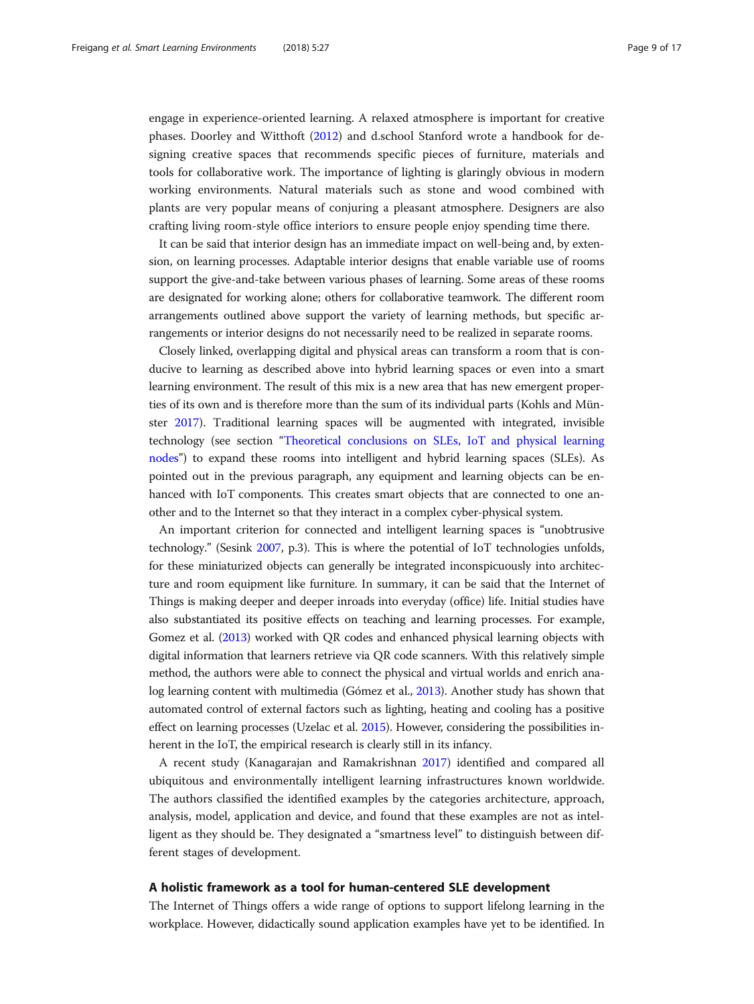engage in experience-oriented learning. A relaxed atmosphere is important for creative phases. Doorley and Witthoft ([2012](#page-16-0)) and d.school Stanford wrote a handbook for designing creative spaces that recommends specific pieces of furniture, materials and tools for collaborative work. The importance of lighting is glaringly obvious in modern working environments. Natural materials such as stone and wood combined with plants are very popular means of conjuring a pleasant atmosphere. Designers are also crafting living room-style office interiors to ensure people enjoy spending time there.

It can be said that interior design has an immediate impact on well-being and, by extension, on learning processes. Adaptable interior designs that enable variable use of rooms support the give-and-take between various phases of learning. Some areas of these rooms are designated for working alone; others for collaborative teamwork. The different room arrangements outlined above support the variety of learning methods, but specific arrangements or interior designs do not necessarily need to be realized in separate rooms.

Closely linked, overlapping digital and physical areas can transform a room that is conducive to learning as described above into hybrid learning spaces or even into a smart learning environment. The result of this mix is a new area that has new emergent properties of its own and is therefore more than the sum of its individual parts (Kohls and Münster [2017](#page-16-0)). Traditional learning spaces will be augmented with integrated, invisible technology (see section "[Theoretical conclusions on SLEs, IoT and physical learning](#page-7-0) [nodes](#page-7-0)") to expand these rooms into intelligent and hybrid learning spaces (SLEs). As pointed out in the previous paragraph, any equipment and learning objects can be enhanced with IoT components. This creates smart objects that are connected to one another and to the Internet so that they interact in a complex cyber-physical system.

An important criterion for connected and intelligent learning spaces is "unobtrusive technology." (Sesink [2007](#page-16-0), p.3). This is where the potential of IoT technologies unfolds, for these miniaturized objects can generally be integrated inconspicuously into architecture and room equipment like furniture. In summary, it can be said that the Internet of Things is making deeper and deeper inroads into everyday (office) life. Initial studies have also substantiated its positive effects on teaching and learning processes. For example, Gomez et al. ([2013](#page-16-0)) worked with QR codes and enhanced physical learning objects with digital information that learners retrieve via QR code scanners. With this relatively simple method, the authors were able to connect the physical and virtual worlds and enrich analog learning content with multimedia (Gómez et al., [2013](#page-16-0)). Another study has shown that automated control of external factors such as lighting, heating and cooling has a positive effect on learning processes (Uzelac et al. [2015\)](#page-16-0). However, considering the possibilities inherent in the IoT, the empirical research is clearly still in its infancy.

A recent study (Kanagarajan and Ramakrishnan [2017](#page-16-0)) identified and compared all ubiquitous and environmentally intelligent learning infrastructures known worldwide. The authors classified the identified examples by the categories architecture, approach, analysis, model, application and device, and found that these examples are not as intelligent as they should be. They designated a "smartness level" to distinguish between different stages of development.

#### A holistic framework as a tool for human-centered SLE development

The Internet of Things offers a wide range of options to support lifelong learning in the workplace. However, didactically sound application examples have yet to be identified. In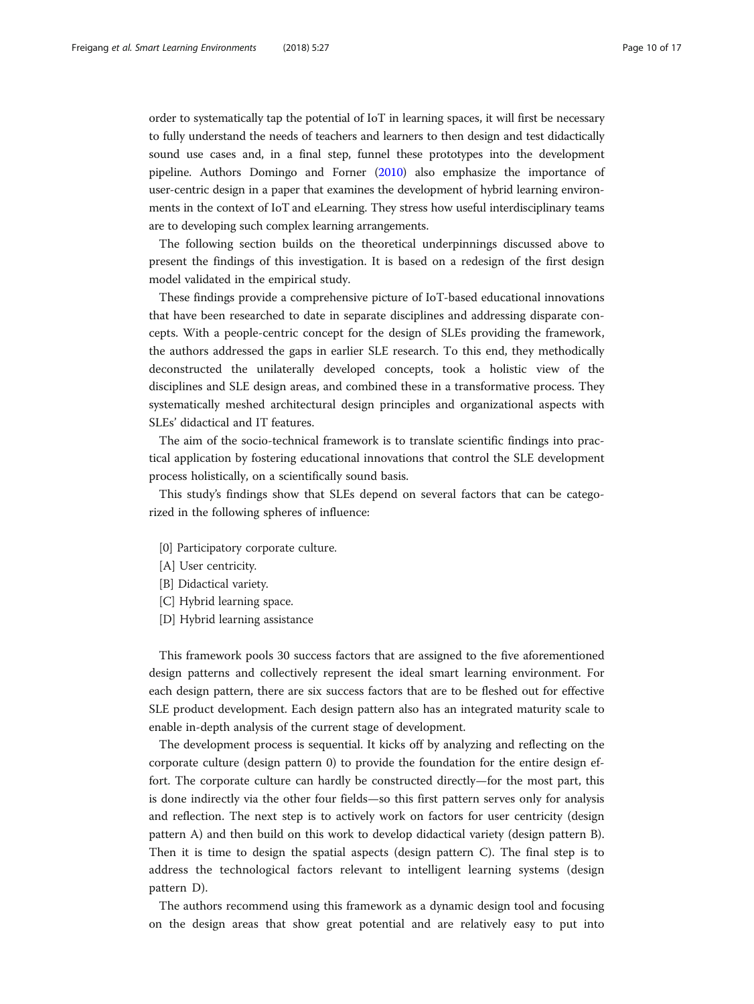order to systematically tap the potential of IoT in learning spaces, it will first be necessary to fully understand the needs of teachers and learners to then design and test didactically sound use cases and, in a final step, funnel these prototypes into the development pipeline. Authors Domingo and Forner [\(2010](#page-16-0)) also emphasize the importance of user-centric design in a paper that examines the development of hybrid learning environments in the context of IoT and eLearning. They stress how useful interdisciplinary teams are to developing such complex learning arrangements.

The following section builds on the theoretical underpinnings discussed above to present the findings of this investigation. It is based on a redesign of the first design model validated in the empirical study.

These findings provide a comprehensive picture of IoT-based educational innovations that have been researched to date in separate disciplines and addressing disparate concepts. With a people-centric concept for the design of SLEs providing the framework, the authors addressed the gaps in earlier SLE research. To this end, they methodically deconstructed the unilaterally developed concepts, took a holistic view of the disciplines and SLE design areas, and combined these in a transformative process. They systematically meshed architectural design principles and organizational aspects with SLEs' didactical and IT features.

The aim of the socio-technical framework is to translate scientific findings into practical application by fostering educational innovations that control the SLE development process holistically, on a scientifically sound basis.

This study's findings show that SLEs depend on several factors that can be categorized in the following spheres of influence:

- [0] Participatory corporate culture.
- [A] User centricity.
- [B] Didactical variety.
- [C] Hybrid learning space.
- [D] Hybrid learning assistance

This framework pools 30 success factors that are assigned to the five aforementioned design patterns and collectively represent the ideal smart learning environment. For each design pattern, there are six success factors that are to be fleshed out for effective SLE product development. Each design pattern also has an integrated maturity scale to enable in-depth analysis of the current stage of development.

The development process is sequential. It kicks off by analyzing and reflecting on the corporate culture (design pattern 0) to provide the foundation for the entire design effort. The corporate culture can hardly be constructed directly—for the most part, this is done indirectly via the other four fields—so this first pattern serves only for analysis and reflection. The next step is to actively work on factors for user centricity (design pattern A) and then build on this work to develop didactical variety (design pattern B). Then it is time to design the spatial aspects (design pattern C). The final step is to address the technological factors relevant to intelligent learning systems (design pattern D).

The authors recommend using this framework as a dynamic design tool and focusing on the design areas that show great potential and are relatively easy to put into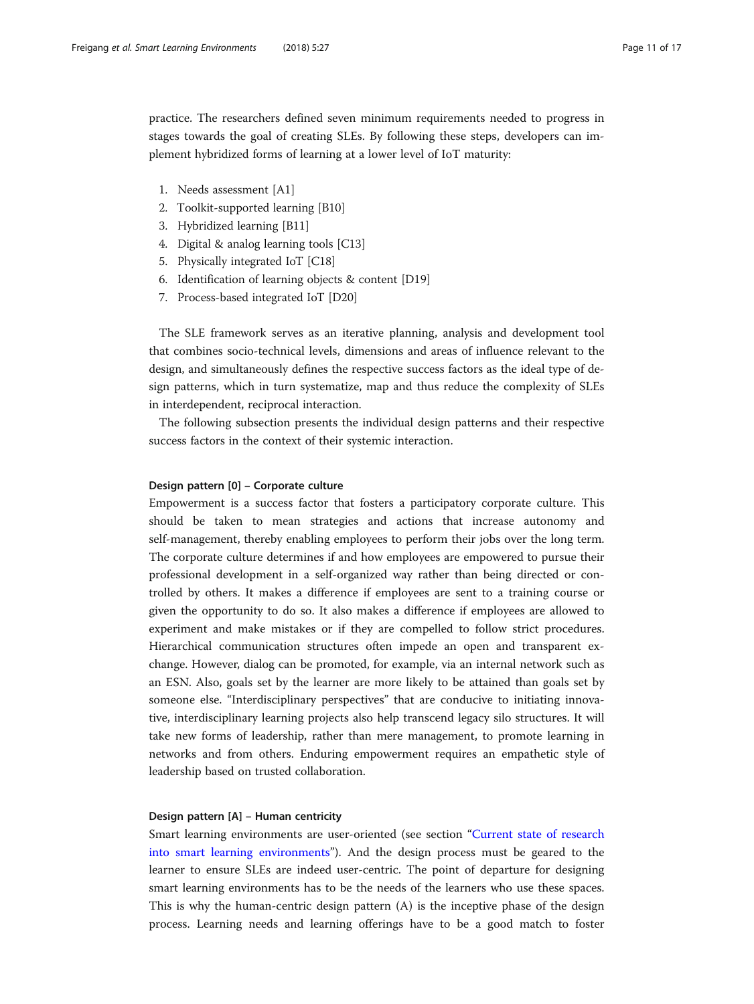practice. The researchers defined seven minimum requirements needed to progress in stages towards the goal of creating SLEs. By following these steps, developers can implement hybridized forms of learning at a lower level of IoT maturity:

- 1. Needs assessment [A1]
- 2. Toolkit-supported learning [B10]
- 3. Hybridized learning [B11]
- 4. Digital & analog learning tools [C13]
- 5. Physically integrated IoT [C18]
- 6. Identification of learning objects & content [D19]
- 7. Process-based integrated IoT [D20]

The SLE framework serves as an iterative planning, analysis and development tool that combines socio-technical levels, dimensions and areas of influence relevant to the design, and simultaneously defines the respective success factors as the ideal type of design patterns, which in turn systematize, map and thus reduce the complexity of SLEs in interdependent, reciprocal interaction.

The following subsection presents the individual design patterns and their respective success factors in the context of their systemic interaction.

## Design pattern [0] – Corporate culture

Empowerment is a success factor that fosters a participatory corporate culture. This should be taken to mean strategies and actions that increase autonomy and self-management, thereby enabling employees to perform their jobs over the long term. The corporate culture determines if and how employees are empowered to pursue their professional development in a self-organized way rather than being directed or controlled by others. It makes a difference if employees are sent to a training course or given the opportunity to do so. It also makes a difference if employees are allowed to experiment and make mistakes or if they are compelled to follow strict procedures. Hierarchical communication structures often impede an open and transparent exchange. However, dialog can be promoted, for example, via an internal network such as an ESN. Also, goals set by the learner are more likely to be attained than goals set by someone else. "Interdisciplinary perspectives" that are conducive to initiating innovative, interdisciplinary learning projects also help transcend legacy silo structures. It will take new forms of leadership, rather than mere management, to promote learning in networks and from others. Enduring empowerment requires an empathetic style of leadership based on trusted collaboration.

#### Design pattern [A] – Human centricity

Smart learning environments are user-oriented (see section "[Current state of research](#page-2-0) [into smart learning environments](#page-2-0)"). And the design process must be geared to the learner to ensure SLEs are indeed user-centric. The point of departure for designing smart learning environments has to be the needs of the learners who use these spaces. This is why the human-centric design pattern (A) is the inceptive phase of the design process. Learning needs and learning offerings have to be a good match to foster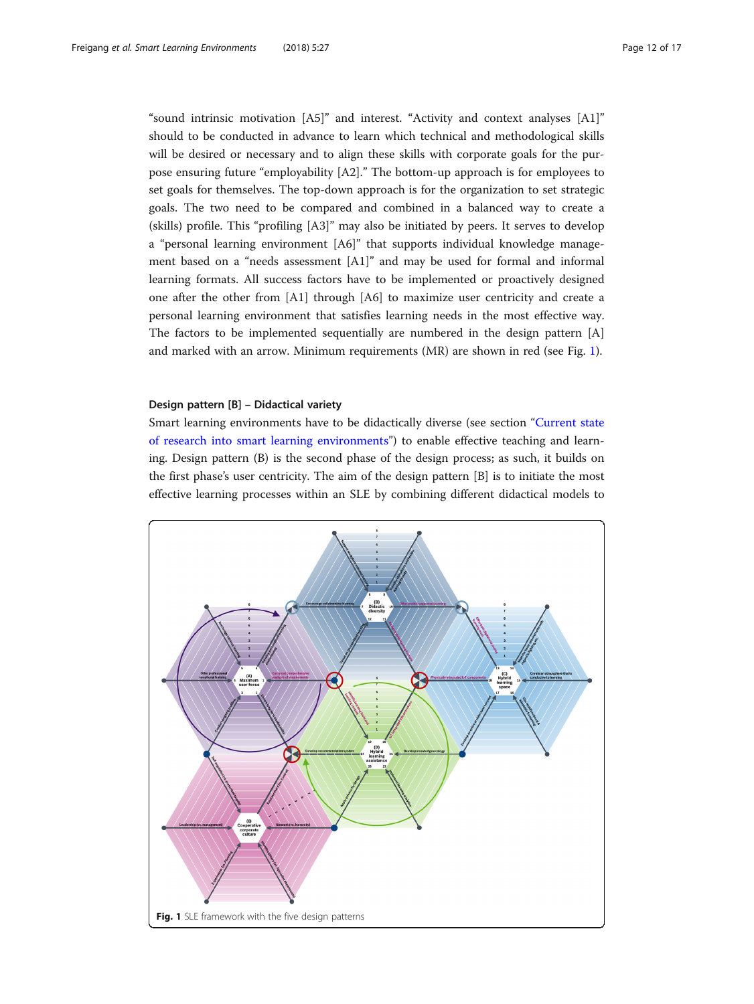"sound intrinsic motivation [A5]" and interest. "Activity and context analyses [A1]" should to be conducted in advance to learn which technical and methodological skills will be desired or necessary and to align these skills with corporate goals for the purpose ensuring future "employability [A2]." The bottom-up approach is for employees to set goals for themselves. The top-down approach is for the organization to set strategic goals. The two need to be compared and combined in a balanced way to create a (skills) profile. This "profiling [A3]" may also be initiated by peers. It serves to develop a "personal learning environment [A6]" that supports individual knowledge management based on a "needs assessment [A1]" and may be used for formal and informal learning formats. All success factors have to be implemented or proactively designed one after the other from [A1] through [A6] to maximize user centricity and create a personal learning environment that satisfies learning needs in the most effective way. The factors to be implemented sequentially are numbered in the design pattern [A] and marked with an arrow. Minimum requirements (MR) are shown in red (see Fig. 1).

#### Design pattern [B] – Didactical variety

Smart learning environments have to be didactically diverse (see section "[Current state](#page-2-0) [of research into smart learning environments](#page-2-0)") to enable effective teaching and learning. Design pattern (B) is the second phase of the design process; as such, it builds on the first phase's user centricity. The aim of the design pattern [B] is to initiate the most effective learning processes within an SLE by combining different didactical models to

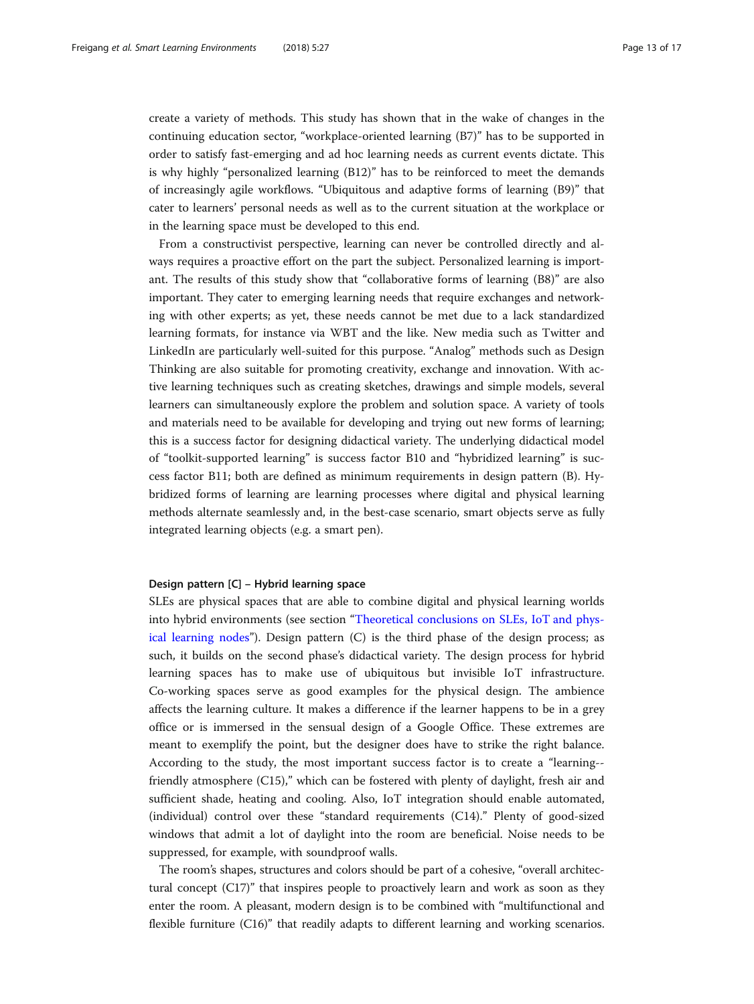create a variety of methods. This study has shown that in the wake of changes in the continuing education sector, "workplace-oriented learning (B7)" has to be supported in order to satisfy fast-emerging and ad hoc learning needs as current events dictate. This is why highly "personalized learning (B12)" has to be reinforced to meet the demands of increasingly agile workflows. "Ubiquitous and adaptive forms of learning (B9)" that cater to learners' personal needs as well as to the current situation at the workplace or in the learning space must be developed to this end.

From a constructivist perspective, learning can never be controlled directly and always requires a proactive effort on the part the subject. Personalized learning is important. The results of this study show that "collaborative forms of learning (B8)" are also important. They cater to emerging learning needs that require exchanges and networking with other experts; as yet, these needs cannot be met due to a lack standardized learning formats, for instance via WBT and the like. New media such as Twitter and LinkedIn are particularly well-suited for this purpose. "Analog" methods such as Design Thinking are also suitable for promoting creativity, exchange and innovation. With active learning techniques such as creating sketches, drawings and simple models, several learners can simultaneously explore the problem and solution space. A variety of tools and materials need to be available for developing and trying out new forms of learning; this is a success factor for designing didactical variety. The underlying didactical model of "toolkit-supported learning" is success factor B10 and "hybridized learning" is success factor B11; both are defined as minimum requirements in design pattern (B). Hybridized forms of learning are learning processes where digital and physical learning methods alternate seamlessly and, in the best-case scenario, smart objects serve as fully integrated learning objects (e.g. a smart pen).

#### Design pattern [C] – Hybrid learning space

SLEs are physical spaces that are able to combine digital and physical learning worlds into hybrid environments (see section "[Theoretical conclusions on SLEs, IoT and phys](#page-7-0)[ical learning nodes](#page-7-0)"). Design pattern  $(C)$  is the third phase of the design process; as such, it builds on the second phase's didactical variety. The design process for hybrid learning spaces has to make use of ubiquitous but invisible IoT infrastructure. Co-working spaces serve as good examples for the physical design. The ambience affects the learning culture. It makes a difference if the learner happens to be in a grey office or is immersed in the sensual design of a Google Office. These extremes are meant to exemplify the point, but the designer does have to strike the right balance. According to the study, the most important success factor is to create a "learning- friendly atmosphere (C15)," which can be fostered with plenty of daylight, fresh air and sufficient shade, heating and cooling. Also, IoT integration should enable automated, (individual) control over these "standard requirements (C14)." Plenty of good-sized windows that admit a lot of daylight into the room are beneficial. Noise needs to be suppressed, for example, with soundproof walls.

The room's shapes, structures and colors should be part of a cohesive, "overall architectural concept (C17)" that inspires people to proactively learn and work as soon as they enter the room. A pleasant, modern design is to be combined with "multifunctional and flexible furniture (C16)" that readily adapts to different learning and working scenarios.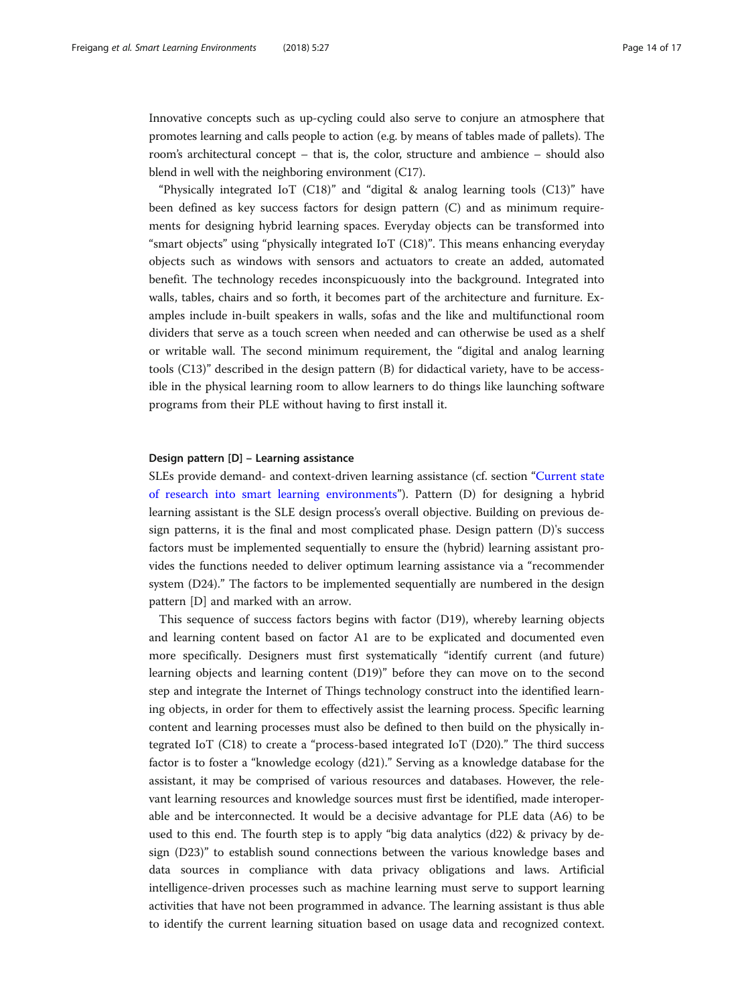Innovative concepts such as up-cycling could also serve to conjure an atmosphere that promotes learning and calls people to action (e.g. by means of tables made of pallets). The room's architectural concept – that is, the color, structure and ambience – should also blend in well with the neighboring environment (C17).

"Physically integrated IoT  $(C18)$ " and "digital & analog learning tools  $(C13)$ " have been defined as key success factors for design pattern (C) and as minimum requirements for designing hybrid learning spaces. Everyday objects can be transformed into "smart objects" using "physically integrated IoT (C18)". This means enhancing everyday objects such as windows with sensors and actuators to create an added, automated benefit. The technology recedes inconspicuously into the background. Integrated into walls, tables, chairs and so forth, it becomes part of the architecture and furniture. Examples include in-built speakers in walls, sofas and the like and multifunctional room dividers that serve as a touch screen when needed and can otherwise be used as a shelf or writable wall. The second minimum requirement, the "digital and analog learning tools (C13)" described in the design pattern (B) for didactical variety, have to be accessible in the physical learning room to allow learners to do things like launching software programs from their PLE without having to first install it.

#### Design pattern [D] – Learning assistance

SLEs provide demand- and context-driven learning assistance (cf. section "[Current state](#page-2-0) [of research into smart learning environments](#page-2-0)"). Pattern (D) for designing a hybrid learning assistant is the SLE design process's overall objective. Building on previous design patterns, it is the final and most complicated phase. Design pattern (D)'s success factors must be implemented sequentially to ensure the (hybrid) learning assistant provides the functions needed to deliver optimum learning assistance via a "recommender system (D24)." The factors to be implemented sequentially are numbered in the design pattern [D] and marked with an arrow.

This sequence of success factors begins with factor (D19), whereby learning objects and learning content based on factor A1 are to be explicated and documented even more specifically. Designers must first systematically "identify current (and future) learning objects and learning content (D19)" before they can move on to the second step and integrate the Internet of Things technology construct into the identified learning objects, in order for them to effectively assist the learning process. Specific learning content and learning processes must also be defined to then build on the physically integrated IoT (C18) to create a "process-based integrated IoT (D20)." The third success factor is to foster a "knowledge ecology (d21)." Serving as a knowledge database for the assistant, it may be comprised of various resources and databases. However, the relevant learning resources and knowledge sources must first be identified, made interoperable and be interconnected. It would be a decisive advantage for PLE data (A6) to be used to this end. The fourth step is to apply "big data analytics (d22) & privacy by design (D23)" to establish sound connections between the various knowledge bases and data sources in compliance with data privacy obligations and laws. Artificial intelligence-driven processes such as machine learning must serve to support learning activities that have not been programmed in advance. The learning assistant is thus able to identify the current learning situation based on usage data and recognized context.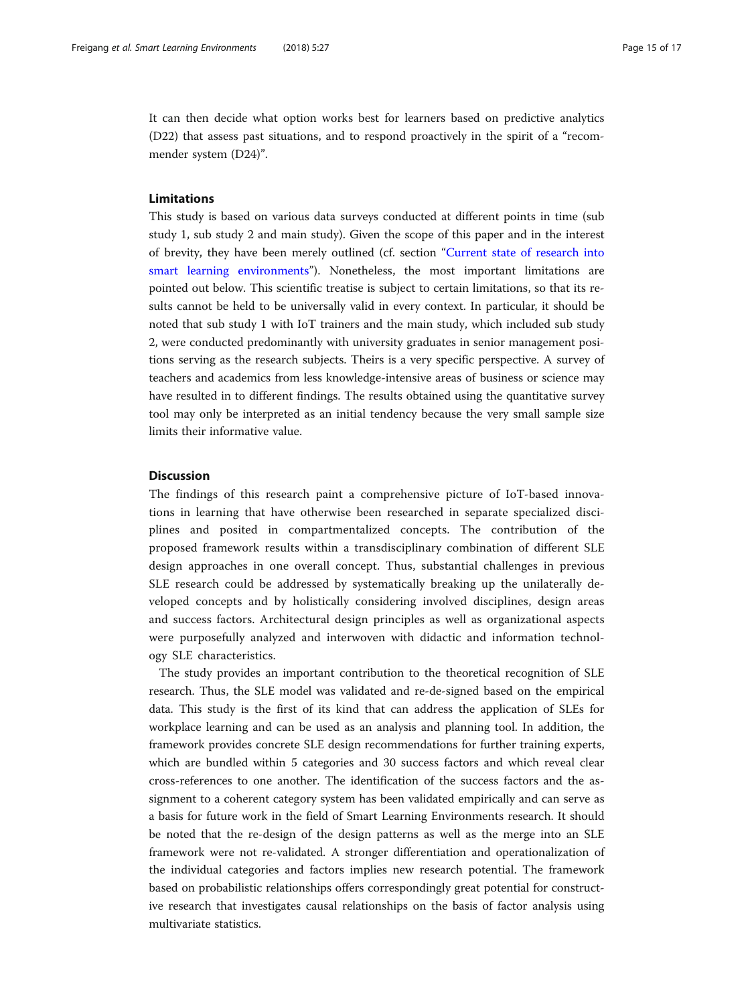It can then decide what option works best for learners based on predictive analytics (D22) that assess past situations, and to respond proactively in the spirit of a "recommender system (D24)".

## Limitations

This study is based on various data surveys conducted at different points in time (sub study 1, sub study 2 and main study). Given the scope of this paper and in the interest of brevity, they have been merely outlined (cf. section "[Current state of research into](#page-2-0) [smart learning environments](#page-2-0)"). Nonetheless, the most important limitations are pointed out below. This scientific treatise is subject to certain limitations, so that its results cannot be held to be universally valid in every context. In particular, it should be noted that sub study 1 with IoT trainers and the main study, which included sub study 2, were conducted predominantly with university graduates in senior management positions serving as the research subjects. Theirs is a very specific perspective. A survey of teachers and academics from less knowledge-intensive areas of business or science may have resulted in to different findings. The results obtained using the quantitative survey tool may only be interpreted as an initial tendency because the very small sample size limits their informative value.

## **Discussion**

The findings of this research paint a comprehensive picture of IoT-based innovations in learning that have otherwise been researched in separate specialized disciplines and posited in compartmentalized concepts. The contribution of the proposed framework results within a transdisciplinary combination of different SLE design approaches in one overall concept. Thus, substantial challenges in previous SLE research could be addressed by systematically breaking up the unilaterally developed concepts and by holistically considering involved disciplines, design areas and success factors. Architectural design principles as well as organizational aspects were purposefully analyzed and interwoven with didactic and information technology SLE characteristics.

The study provides an important contribution to the theoretical recognition of SLE research. Thus, the SLE model was validated and re-de-signed based on the empirical data. This study is the first of its kind that can address the application of SLEs for workplace learning and can be used as an analysis and planning tool. In addition, the framework provides concrete SLE design recommendations for further training experts, which are bundled within 5 categories and 30 success factors and which reveal clear cross-references to one another. The identification of the success factors and the assignment to a coherent category system has been validated empirically and can serve as a basis for future work in the field of Smart Learning Environments research. It should be noted that the re-design of the design patterns as well as the merge into an SLE framework were not re-validated. A stronger differentiation and operationalization of the individual categories and factors implies new research potential. The framework based on probabilistic relationships offers correspondingly great potential for constructive research that investigates causal relationships on the basis of factor analysis using multivariate statistics.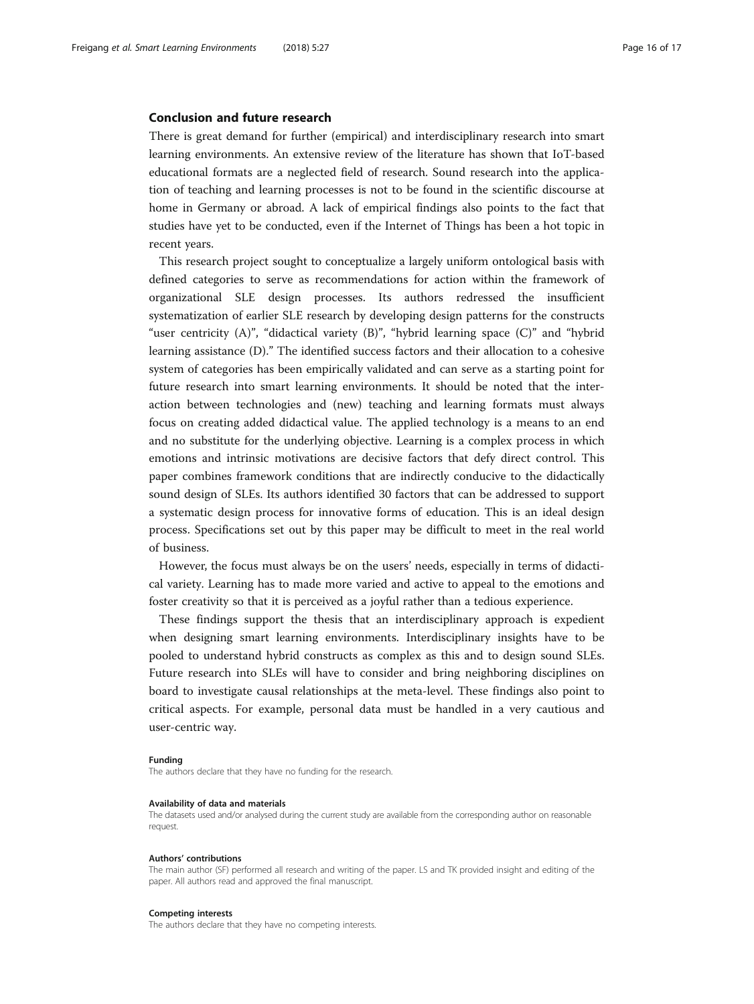#### Conclusion and future research

There is great demand for further (empirical) and interdisciplinary research into smart learning environments. An extensive review of the literature has shown that IoT-based educational formats are a neglected field of research. Sound research into the application of teaching and learning processes is not to be found in the scientific discourse at home in Germany or abroad. A lack of empirical findings also points to the fact that studies have yet to be conducted, even if the Internet of Things has been a hot topic in recent years.

This research project sought to conceptualize a largely uniform ontological basis with defined categories to serve as recommendations for action within the framework of organizational SLE design processes. Its authors redressed the insufficient systematization of earlier SLE research by developing design patterns for the constructs "user centricity (A)", "didactical variety (B)", "hybrid learning space (C)" and "hybrid learning assistance (D)." The identified success factors and their allocation to a cohesive system of categories has been empirically validated and can serve as a starting point for future research into smart learning environments. It should be noted that the interaction between technologies and (new) teaching and learning formats must always focus on creating added didactical value. The applied technology is a means to an end and no substitute for the underlying objective. Learning is a complex process in which emotions and intrinsic motivations are decisive factors that defy direct control. This paper combines framework conditions that are indirectly conducive to the didactically sound design of SLEs. Its authors identified 30 factors that can be addressed to support a systematic design process for innovative forms of education. This is an ideal design process. Specifications set out by this paper may be difficult to meet in the real world of business.

However, the focus must always be on the users' needs, especially in terms of didactical variety. Learning has to made more varied and active to appeal to the emotions and foster creativity so that it is perceived as a joyful rather than a tedious experience.

These findings support the thesis that an interdisciplinary approach is expedient when designing smart learning environments. Interdisciplinary insights have to be pooled to understand hybrid constructs as complex as this and to design sound SLEs. Future research into SLEs will have to consider and bring neighboring disciplines on board to investigate causal relationships at the meta-level. These findings also point to critical aspects. For example, personal data must be handled in a very cautious and user-centric way.

#### Funding

The authors declare that they have no funding for the research.

#### Availability of data and materials

The datasets used and/or analysed during the current study are available from the corresponding author on reasonable request.

#### Authors' contributions

The main author (SF) performed all research and writing of the paper. LS and TK provided insight and editing of the paper. All authors read and approved the final manuscript.

#### Competing interests

The authors declare that they have no competing interests.